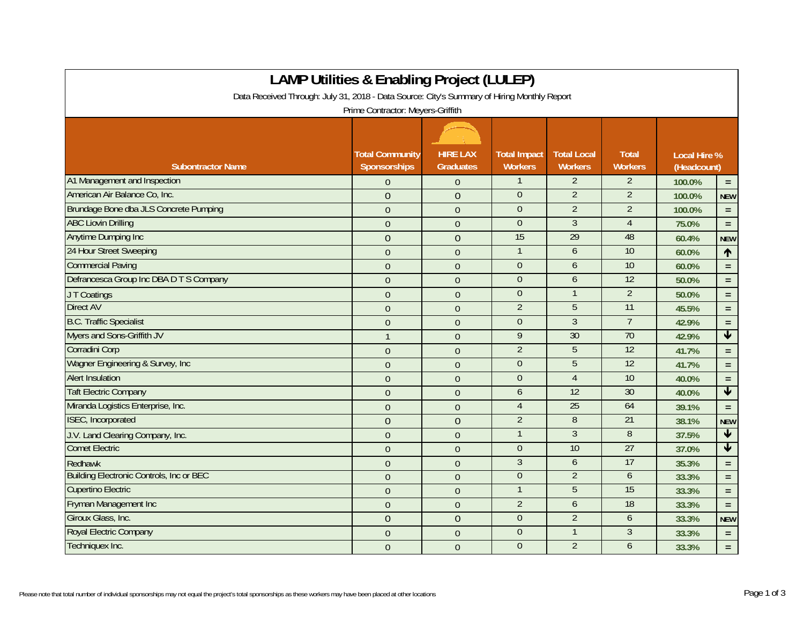|                                                                                             | <b>LAMP Utilities &amp; Enabling Project (LULEP)</b> |                                     |                                       |                                      |                                |                                    |                         |
|---------------------------------------------------------------------------------------------|------------------------------------------------------|-------------------------------------|---------------------------------------|--------------------------------------|--------------------------------|------------------------------------|-------------------------|
| Data Received Through: July 31, 2018 - Data Source: City's Summary of Hiring Monthly Report |                                                      |                                     |                                       |                                      |                                |                                    |                         |
|                                                                                             | Prime Contractor: Meyers-Griffith                    |                                     |                                       |                                      |                                |                                    |                         |
|                                                                                             |                                                      |                                     |                                       |                                      |                                |                                    |                         |
| <b>Subontractor Name</b>                                                                    | <b>Total Community</b><br>Sponsorships               | <b>HIRE LAX</b><br><b>Graduates</b> | <b>Total Impact</b><br><b>Workers</b> | <b>Total Local</b><br><b>Workers</b> | <b>Total</b><br><b>Workers</b> | <b>Local Hire %</b><br>(Headcount) |                         |
| A1 Management and Inspection                                                                | $\Omega$                                             | $\theta$                            | $\mathbf{1}$                          | $\overline{2}$                       | $\overline{2}$                 | 100.0%                             | $\equiv$                |
| American Air Balance Co, Inc.                                                               | $\overline{0}$                                       | $\overline{0}$                      | $\overline{0}$                        | $\overline{2}$                       | $\overline{2}$                 | 100.0%                             | <b>NEW</b>              |
| Brundage Bone dba JLS Concrete Pumping                                                      | $\overline{0}$                                       | $\overline{0}$                      | $\mathbf{0}$                          | $\overline{2}$                       | $\overline{2}$                 | 100.0%                             | $=$ $\,$                |
| <b>ABC Liovin Drilling</b>                                                                  | $\Omega$                                             | $\theta$                            | $\theta$                              | 3                                    | 4                              | 75.0%                              | $\equiv$                |
| Anytime Dumping Inc                                                                         | $\overline{0}$                                       | $\overline{0}$                      | 15                                    | 29                                   | 48                             | 60.4%                              | <b>NEW</b>              |
| 24 Hour Street Sweeping                                                                     | $\overline{0}$                                       | $\overline{0}$                      | $\mathbf{1}$                          | 6                                    | 10                             | 60.0%                              | $\uparrow$              |
| <b>Commercial Paving</b>                                                                    | $\overline{0}$                                       | $\theta$                            | $\overline{0}$                        | 6                                    | 10                             | 60.0%                              | $\equiv$                |
| Defrancesca Group Inc DBA D T S Company                                                     | $\overline{0}$                                       | $\theta$                            | $\boldsymbol{0}$                      | 6                                    | $\overline{12}$                | 50.0%                              | $\equiv$                |
| JT Coatings                                                                                 | $\mathbf{0}$                                         | $\Omega$                            | $\boldsymbol{0}$                      | $\mathbf{1}$                         | $\overline{2}$                 | 50.0%                              | $\equiv$                |
| <b>Direct AV</b>                                                                            | $\overline{0}$                                       | $\overline{0}$                      | $\overline{2}$                        | 5                                    | 11                             | 45.5%                              | $\equiv$                |
| <b>B.C. Traffic Specialist</b>                                                              | $\overline{0}$                                       | $\overline{0}$                      | $\overline{0}$                        | $\overline{3}$                       | $\overline{7}$                 | 42.9%                              | $\equiv$                |
| Myers and Sons-Griffith JV                                                                  | $\mathbf{1}$                                         | $\Omega$                            | 9                                     | 30                                   | 70                             | 42.9%                              | $\overline{\mathbf{V}}$ |
| Corradini Corp                                                                              | $\overline{0}$                                       | $\theta$                            | $\overline{2}$                        | 5                                    | 12                             | 41.7%                              | $\equiv$                |
| Wagner Engineering & Survey, Inc.                                                           | $\overline{0}$                                       | $\mathbf{0}$                        | $\overline{0}$                        | 5                                    | 12                             | 41.7%                              | $\equiv$                |
| <b>Alert Insulation</b>                                                                     | $\overline{0}$                                       | $\overline{0}$                      | $\theta$                              | $\overline{4}$                       | 10                             | 40.0%                              | $\equiv$                |
| <b>Taft Electric Company</b>                                                                | $\overline{0}$                                       | $\overline{0}$                      | 6                                     | 12                                   | 30                             | 40.0%                              | $\blacktriangledown$    |
| Miranda Logistics Enterprise, Inc.                                                          | $\overline{0}$                                       | $\overline{0}$                      | $\overline{4}$                        | 25                                   | 64                             | 39.1%                              | $\equiv$                |
| ISEC, Incorporated                                                                          | $\mathbf{0}$                                         | $\overline{0}$                      | $\overline{2}$                        | 8                                    | $\overline{21}$                | 38.1%                              | <b>NEW</b>              |
| J.V. Land Clearing Company, Inc.                                                            | $\overline{0}$                                       | $\overline{0}$                      | $\mathbf{1}$                          | $\overline{3}$                       | 8                              | 37.5%                              | $\blacklozenge$         |
| <b>Comet Electric</b>                                                                       | $\Omega$                                             | $\theta$                            | $\theta$                              | 10                                   | 27                             | 37.0%                              | $\blacklozenge$         |
| Redhawk                                                                                     | $\overline{0}$                                       | $\overline{0}$                      | $\overline{3}$                        | 6                                    | 17                             | 35.3%                              | $\equiv$                |
| <b>Building Electronic Controls, Inc or BEC</b>                                             | $\overline{0}$                                       | $\overline{0}$                      | $\overline{0}$                        | $\overline{2}$                       | $\overline{6}$                 | 33.3%                              | $\equiv$                |
| <b>Cupertino Electric</b>                                                                   | $\Omega$                                             | $\theta$                            | $\mathbf{1}$                          | 5                                    | 15                             | 33.3%                              | $\equiv$                |
| <b>Fryman Management Inc</b>                                                                | $\overline{0}$                                       | $\theta$                            | $\overline{2}$                        | 6                                    | $\overline{18}$                | 33.3%                              | $\equiv$                |
| Giroux Glass, Inc.                                                                          | $\overline{0}$                                       | $\overline{0}$                      | $\mathbf{0}$                          | $\overline{2}$                       | 6                              | 33.3%                              | <b>NEW</b>              |
| Royal Electric Company                                                                      | $\overline{0}$                                       | $\mathbf{0}$                        | $\theta$                              | 1                                    | 3                              | 33.3%                              | $\equiv$                |
| Techniquex Inc.                                                                             | $\overline{0}$                                       | $\theta$                            | $\theta$                              | $\overline{2}$                       | 6                              | 33.3%                              | $\equiv$                |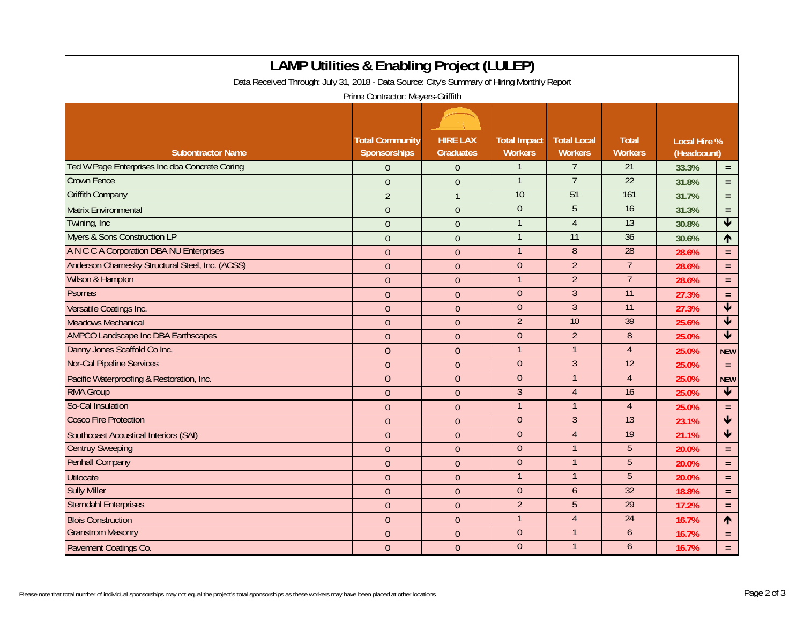| <b>LAMP Utilities &amp; Enabling Project (LULEP)</b><br>Data Received Through: July 31, 2018 - Data Source: City's Summary of Hiring Monthly Report<br>Prime Contractor: Meyers-Griffith |                                        |                                     |                                       |                                      |                                |                                    |                         |  |
|------------------------------------------------------------------------------------------------------------------------------------------------------------------------------------------|----------------------------------------|-------------------------------------|---------------------------------------|--------------------------------------|--------------------------------|------------------------------------|-------------------------|--|
| <b>Subontractor Name</b>                                                                                                                                                                 | <b>Total Community</b><br>Sponsorships | <b>HIRE LAX</b><br><b>Graduates</b> | <b>Total Impact</b><br><b>Workers</b> | <b>Total Local</b><br><b>Workers</b> | <b>Total</b><br><b>Workers</b> | <b>Local Hire %</b><br>(Headcount) |                         |  |
| Ted W Page Enterprises Inc dba Concrete Coring                                                                                                                                           | $\Omega$                               | $\Omega$                            | 1                                     | 7                                    | 21                             | 33.3%                              | $\equiv$                |  |
| <b>Crown Fence</b>                                                                                                                                                                       | $\theta$                               | $\overline{0}$                      | $\mathbf{1}$                          | $\overline{7}$                       | 22                             | 31.8%                              | $\equiv$                |  |
| <b>Griffith Company</b>                                                                                                                                                                  | $\overline{2}$                         | $\mathbf{1}$                        | 10                                    | 51                                   | 161                            | 31.7%                              | $\equiv$                |  |
| <b>Matrix Environmental</b>                                                                                                                                                              | $\overline{0}$                         | $\overline{0}$                      | $\overline{0}$                        | $\overline{5}$                       | 16                             | 31.3%                              | $\equiv$                |  |
| Twining, Inc.                                                                                                                                                                            | $\Omega$                               | $\Omega$                            | $\mathbf{1}$                          | $\overline{4}$                       | 13                             | 30.8%                              | $\overline{\mathbf{V}}$ |  |
| <b>Myers &amp; Sons Construction LP</b>                                                                                                                                                  | $\overline{0}$                         | $\overline{0}$                      | $\mathbf{1}$                          | 11                                   | 36                             | 30.6%                              | ↑                       |  |
| A N C C A Corporation DBA NU Enterprises                                                                                                                                                 | $\overline{0}$                         | $\theta$                            | $\mathbf{1}$                          | 8                                    | $\overline{28}$                | 28.6%                              | $\equiv$                |  |
| Anderson Charnesky Structural Steel, Inc. (ACSS)                                                                                                                                         | $\overline{0}$                         | $\Omega$                            | $\overline{0}$                        | $\overline{2}$                       | $\overline{7}$                 | 28.6%                              | $\equiv$                |  |
| Wilson & Hampton                                                                                                                                                                         | $\theta$                               | $\theta$                            | $\mathbf{1}$                          | $\overline{2}$                       | $\overline{7}$                 | 28.6%                              | $\equiv$                |  |
| <b>Psomas</b>                                                                                                                                                                            | $\overline{0}$                         | $\overline{0}$                      | $\overline{0}$                        | $\overline{3}$                       | 11                             | 27.3%                              | $\equiv$                |  |
| Versatile Coatings Inc.                                                                                                                                                                  | $\theta$                               | $\overline{0}$                      | $\theta$                              | $\overline{3}$                       | 11                             | 27.3%                              | $\overline{\mathbf{t}}$ |  |
| <b>Meadows Mechanical</b>                                                                                                                                                                | $\overline{0}$                         | $\overline{0}$                      | $\overline{2}$                        | 10                                   | 39                             | 25.6%                              | $\overline{\textbf{v}}$ |  |
| <b>AMPCO Landscape Inc DBA Earthscapes</b>                                                                                                                                               | $\overline{0}$                         | $\overline{0}$                      | $\overline{0}$                        | $\overline{2}$                       | 8                              | 25.0%                              | $\overline{\mathbf{v}}$ |  |
| Danny Jones Scaffold Co Inc.                                                                                                                                                             | $\overline{0}$                         | $\overline{0}$                      | $\mathbf{1}$                          | $\overline{1}$                       | $\overline{4}$                 | 25.0%                              | <b>NEW</b>              |  |
| <b>Nor-Cal Pipeline Services</b>                                                                                                                                                         | $\overline{0}$                         | $\theta$                            | $\theta$                              | $\overline{3}$                       | $\overline{12}$                | 25.0%                              | $\equiv$                |  |
| Pacific Waterproofing & Restoration, Inc.                                                                                                                                                | $\overline{0}$                         | $\overline{0}$                      | $\overline{0}$                        | $\mathbf{1}$                         | $\overline{4}$                 | 25.0%                              | <b>NEW</b>              |  |
| <b>RMA Group</b>                                                                                                                                                                         | $\overline{0}$                         | $\theta$                            | $\overline{3}$                        | $\overline{4}$                       | 16                             | 25.0%                              | $\overline{\textbf{v}}$ |  |
| So-Cal Insulation                                                                                                                                                                        | $\overline{0}$                         | $\mathbf{0}$                        | $\mathbf{1}$                          | $\mathbf{1}$                         | $\overline{4}$                 | 25.0%                              | $\equiv$                |  |
| <b>Cosco Fire Protection</b>                                                                                                                                                             | $\overline{0}$                         | $\mathbf{0}$                        | $\theta$                              | $\overline{3}$                       | 13                             | 23.1%                              | $\blacklozenge$         |  |
| <b>Southcoast Acoustical Interiors (SAI)</b>                                                                                                                                             | $\overline{0}$                         | $\overline{0}$                      | $\overline{0}$                        | $\overline{4}$                       | 19                             | 21.1%                              | $\overline{\textbf{t}}$ |  |
| <b>Centruy Sweeping</b>                                                                                                                                                                  | $\overline{0}$                         | $\overline{0}$                      | $\Omega$                              | $\mathbf{1}$                         | 5                              | 20.0%                              | $\equiv$                |  |
| <b>Penhall Company</b>                                                                                                                                                                   | $\overline{0}$                         | $\overline{0}$                      | $\theta$                              | $\mathbf{1}$                         | 5                              | 20.0%                              | $\equiv$                |  |
| <b>Utilocate</b>                                                                                                                                                                         | $\overline{0}$                         | $\theta$                            | $\mathbf{1}$                          | $\mathbf{1}$                         | 5                              | 20.0%                              | $\equiv$                |  |
| <b>Sully Miller</b>                                                                                                                                                                      | $\overline{0}$                         | $\mathbf{0}$                        | $\overline{0}$                        | 6                                    | 32                             | 18.8%                              | $\equiv$                |  |
| <b>Sterndahl Enterprises</b>                                                                                                                                                             | $\overline{0}$                         | $\theta$                            | $\overline{2}$                        | 5                                    | 29                             | 17.2%                              | $\equiv$                |  |
| <b>Blois Construction</b>                                                                                                                                                                | $\overline{0}$                         | $\mathbf{0}$                        | $\mathbf{1}$                          | $\overline{4}$                       | 24                             | 16.7%                              | $\uparrow$              |  |
| <b>Granstrom Masonry</b>                                                                                                                                                                 | $\theta$                               | $\theta$                            | $\overline{0}$                        | $\mathbf{1}$                         | 6                              | 16.7%                              | $\equiv$                |  |
| Pavement Coatings Co.                                                                                                                                                                    | $\overline{0}$                         | $\mathbf{0}$                        | $\overline{0}$                        | $\mathbf{1}$                         | 6                              | 16.7%                              | $\equiv$                |  |

Г

┑